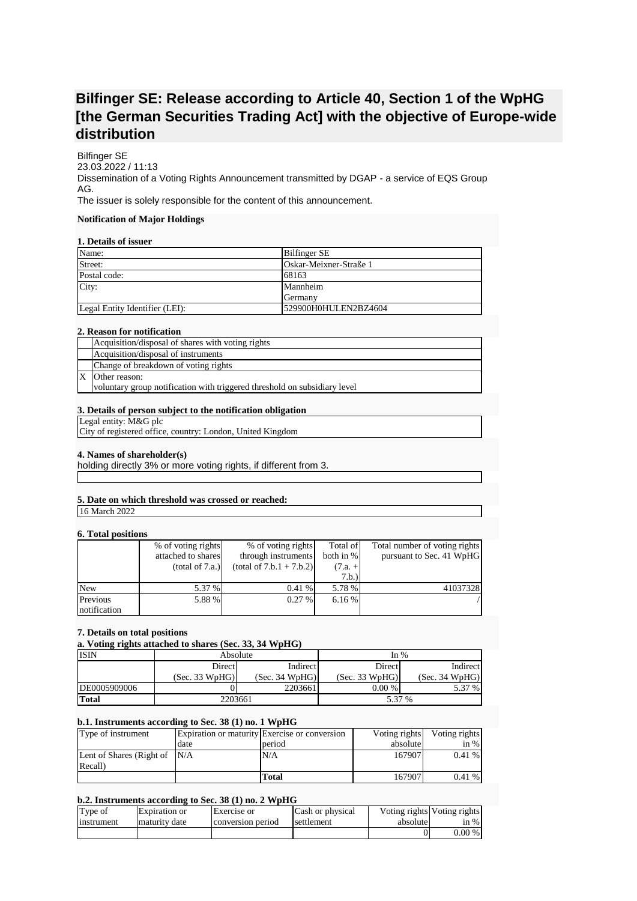# **Bilfinger SE: Release according to Article 40, Section 1 of the WpHG [the German Securities Trading Act] with the objective of Europe-wide distribution**

Bilfinger SE 23.03.2022 / 11:13 Dissemination of a Voting Rights Announcement transmitted by DGAP - a service of EQS Group AG. The issuer is solely responsible for the content of this announcement.

# **Notification of Major Holdings**

# **1. Details of issuer**

| Name:                          | <b>Bilfinger SE</b>    |
|--------------------------------|------------------------|
| Street:                        | Oskar-Meixner-Straße 1 |
| Postal code:                   | 68163                  |
| City:                          | Mannheim               |
|                                | <b>S</b> Cermany       |
| Legal Entity Identifier (LEI): | 529900H0HULEN2BZ4604   |

## **2. Reason for notification**

| Acquisition/disposal of shares with voting rights                         |
|---------------------------------------------------------------------------|
| Acquisition/disposal of instruments                                       |
| Change of breakdown of voting rights                                      |
| Other reason:                                                             |
| voluntary group notification with triggered threshold on subsidiary level |

# **3. Details of person subject to the notification obligation**

Legal entity: M&G plc

City of registered office, country: London, United Kingdom

#### **4. Names of shareholder(s)**

holding directly 3% or more voting rights, if different from 3.

# **5. Date on which threshold was crossed or reached:**

16 March 2022

## **6. Total positions**

|              | % of voting rights | % of voting rights         | Total of  | Total number of voting rights |
|--------------|--------------------|----------------------------|-----------|-------------------------------|
|              | attached to shares | through instruments        | both in % | pursuant to Sec. 41 WpHG      |
|              | (total of 7.a.)    | $(total of 7.b.1 + 7.b.2)$ | $(7.a. +$ |                               |
|              |                    |                            | 7.b.)     |                               |
| <b>New</b>   | 5.37 %             | $0.41\%$                   | 5.78 %    | 41037328                      |
| Previous     | 5.88 %             | 0.27%                      | 6.16%     |                               |
| notification |                    |                            |           |                               |

#### **7. Details on total positions**

## **a. Voting rights attached to shares (Sec. 33, 34 WpHG)**

| <b>ISIN</b>  |                | Absolute       | In $%$         |                |  |
|--------------|----------------|----------------|----------------|----------------|--|
|              | Direct         | Indirect       | Direct         | Indirect       |  |
|              | (Sec. 33 WpHG) | (Sec. 34 WpHG) | (Sec. 33 WpHG) | (Sec. 34 WpHG) |  |
| DE0005909006 |                | 2203661        | $0.00 \%$      | 5.37<br>$\%$   |  |
| Total        | 2203661        |                | 5.37 %         |                |  |

# **b.1. Instruments according to Sec. 38 (1) no. 1 WpHG**

| Type of instrument               |      | Expiration or maturity Exercise or conversion | Voting rights | Voting rights |
|----------------------------------|------|-----------------------------------------------|---------------|---------------|
|                                  | date | period                                        | absolute      | in $%$        |
| Lent of Shares (Right of $N/A$ ) |      | N/A                                           | 167907        | 0.41%         |
| Recall)                          |      |                                               |               |               |
|                                  |      | Total                                         | 167907        | $0.41\%$      |

## **b.2. Instruments according to Sec. 38 (1) no. 2 WpHG**

| Type of    | Expiration or | Exercise or       | Cash or physical | absolute | Voting rights Voting rights |
|------------|---------------|-------------------|------------------|----------|-----------------------------|
| instrument | maturity date | conversion period | settlement       |          | in $%$                      |
|            |               |                   |                  |          | $0.00\%$                    |